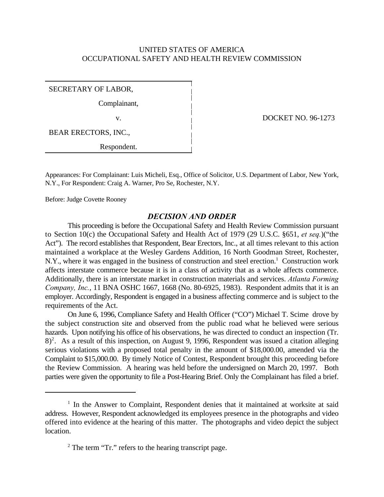## UNITED STATES OF AMERICA OCCUPATIONAL SAFETY AND HEALTH REVIEW COMMISSION

SECRETARY OF LABOR,

Complainant,

BEAR ERECTORS, INC.,

Respondent.

v. DOCKET NO. 96-1273

Appearances: For Complainant: Luis Micheli, Esq., Office of Solicitor, U.S. Department of Labor, New York, N.Y., For Respondent: Craig A. Warner, Pro Se, Rochester, N.Y.

Before: Judge Covette Rooney

#### *DECISION AND ORDER*

This proceeding is before the Occupational Safety and Health Review Commission pursuant to Section 10(c) the Occupational Safety and Health Act of 1979 (29 U.S.C. §651, *et seq.*)("the Act"). The record establishes that Respondent, Bear Erectors, Inc., at all times relevant to this action maintained a workplace at the Wesley Gardens Addition, 16 North Goodman Street, Rochester, N.Y., where it was engaged in the business of construction and steel erection.<sup>1</sup> Construction work affects interstate commerce because it is in a class of activity that as a whole affects commerce. Additionally, there is an interstate market in construction materials and services. *Atlanta Forming Company, Inc.*, 11 BNA OSHC 1667, 1668 (No. 80-6925, 1983). Respondent admits that it is an employer. Accordingly, Respondent is engaged in a business affecting commerce and is subject to the requirements of the Act.

On June 6, 1996, Compliance Safety and Health Officer ("CO") Michael T. Scime drove by the subject construction site and observed from the public road what he believed were serious hazards. Upon notifying his office of his observations, he was directed to conduct an inspection (Tr.  $8)^2$ . As a result of this inspection, on August 9, 1996, Respondent was issued a citation alleging serious violations with a proposed total penalty in the amount of \$18,000.00, amended via the Complaint to \$15,000.00. By timely Notice of Contest, Respondent brought this proceeding before the Review Commission. A hearing was held before the undersigned on March 20, 1997. Both parties were given the opportunity to file a Post-Hearing Brief. Only the Complainant has filed a brief.

 $1$  In the Answer to Complaint, Respondent denies that it maintained at worksite at said address. However, Respondent acknowledged its employees presence in the photographs and video offered into evidence at the hearing of this matter. The photographs and video depict the subject location.

 $2$  The term "Tr." refers to the hearing transcript page.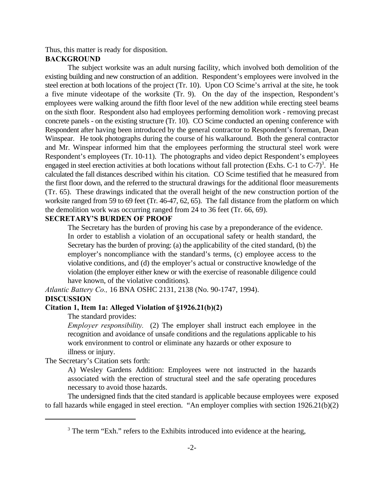Thus, this matter is ready for disposition.

## **BACKGROUND**

The subject worksite was an adult nursing facility, which involved both demolition of the existing building and new construction of an addition. Respondent's employees were involved in the steel erection at both locations of the project (Tr. 10). Upon CO Scime's arrival at the site, he took a five minute videotape of the worksite (Tr. 9). On the day of the inspection, Respondent's employees were walking around the fifth floor level of the new addition while erecting steel beams on the sixth floor. Respondent also had employees performing demolition work - removing precast concrete panels - on the existing structure (Tr. 10). CO Scime conducted an opening conference with Respondent after having been introduced by the general contractor to Respondent's foreman, Dean Winspear. He took photographs during the course of his walkaround. Both the general contractor and Mr. Winspear informed him that the employees performing the structural steel work were Respondent's employees (Tr. 10-11). The photographs and video depict Respondent's employees engaged in steel erection activities at both locations without fall protection (Exhs. C-1 to  $C-7$ )<sup>3</sup>. He calculated the fall distances described within his citation. CO Scime testified that he measured from the first floor down, and the referred to the structural drawings for the additional floor measurements (Tr. 65). These drawings indicated that the overall height of the new construction portion of the worksite ranged from 59 to 69 feet (Tr. 46-47, 62, 65). The fall distance from the platform on which the demolition work was occurring ranged from 24 to 36 feet (Tr. 66, 69).

# **SECRETARY'S BURDEN OF PROOF**

The Secretary has the burden of proving his case by a preponderance of the evidence. In order to establish a violation of an occupational safety or health standard, the Secretary has the burden of proving: (a) the applicability of the cited standard, (b) the employer's noncompliance with the standard's terms, (c) employee access to the violative conditions, and (d) the employer's actual or constructive knowledge of the violation (the employer either knew or with the exercise of reasonable diligence could have known, of the violative conditions).

*Atlantic Battery Co.,* 16 BNA OSHC 2131, 2138 (No. 90-1747, 1994).

## **DISCUSSION**

## **Citation 1, Item 1a: Alleged Violation of §1926.21(b)(2)**

#### The standard provides:

*Employer responsibility.* (2) The employer shall instruct each employee in the recognition and avoidance of unsafe conditions and the regulations applicable to his work environment to control or eliminate any hazards or other exposure to illness or injury.

The Secretary's Citation sets forth:

A) Wesley Gardens Addition: Employees were not instructed in the hazards associated with the erection of structural steel and the safe operating procedures necessary to avoid those hazards.

The undersigned finds that the cited standard is applicable because employees were exposed to fall hazards while engaged in steel erection. "An employer complies with section 1926.21(b)(2)

 $3$  The term "Exh." refers to the Exhibits introduced into evidence at the hearing,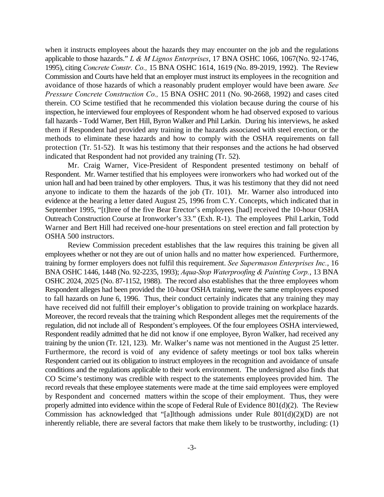when it instructs employees about the hazards they may encounter on the job and the regulations applicable to those hazards." *L & M Lignos Enterprises*, 17 BNA OSHC 1066, 1067(No. 92-1746, 1995), citing *Concrete Constr. Co.,* 15 BNA OSHC 1614, 1619 (No. 89-2019, 1992). The Review Commission and Courts have held that an employer must instruct its employees in the recognition and avoidance of those hazards of which a reasonably prudent employer would have been aware*. See Pressure Concrete Construction Co.,* 15 BNA OSHC 2011 (No. 90-2668, 1992) and cases cited therein. CO Scime testified that he recommended this violation because during the course of his inspection, he interviewed four employees of Respondent whom he had observed exposed to various fall hazards - Todd Warner, Bert Hill, Byron Walker and Phil Larkin. During his interviews, he asked them if Respondent had provided any training in the hazards associated with steel erection, or the methods to eliminate these hazards and how to comply with the OSHA requirements on fall protection (Tr. 51-52). It was his testimony that their responses and the actions he had observed indicated that Respondent had not provided any training (Tr. 52).

Mr. Craig Warner, Vice-President of Respondent presented testimony on behalf of Respondent. Mr. Warner testified that his employees were ironworkers who had worked out of the union hall and had been trained by other employers. Thus, it was his testimony that they did not need anyone to indicate to them the hazards of the job (Tr. 101). Mr. Warner also introduced into evidence at the hearing a letter dated August 25, 1996 from C.Y. Concepts, which indicated that in September 1995, "[t]hree of the five Bear Erector's employees [had] received the 10-hour OSHA Outreach Construction Course at Ironworker's 33." (Exh. R-1). The employees Phil Larkin, Todd Warner and Bert Hill had received one-hour presentations on steel erection and fall protection by OSHA 500 instructors.

Review Commission precedent establishes that the law requires this training be given all employees whether or not they are out of union halls and no matter how experienced. Furthermore, training by former employers does not fulfil this requirement. *See Supermason Enterprises Inc.*, 16 BNA OSHC 1446, 1448 (No. 92-2235, 1993); *Aqua-Stop Waterproofing & Painting Corp.*, 13 BNA OSHC 2024, 2025 (No. 87-1152, 1988). The record also establishes that the three employees whom Respondent alleges had been provided the 10-hour OSHA training, were the same employees exposed to fall hazards on June 6, 1996. Thus, their conduct certainly indicates that any training they may have received did not fulfill their employer's obligation to provide training on workplace hazards. Moreover, the record reveals that the training which Respondent alleges met the requirements of the regulation, did not include all of Respondent's employees. Of the four employees OSHA interviewed, Respondent readily admitted that he did not know if one employee, Byron Walker, had received any training by the union (Tr. 121, 123). Mr. Walker's name was not mentioned in the August 25 letter. Furthermore, the record is void of any evidence of safety meetings or tool box talks wherein Respondent carried out its obligation to instruct employees in the recognition and avoidance of unsafe conditions and the regulations applicable to their work environment. The undersigned also finds that CO Scime's testimony was credible with respect to the statements employees provided him. The record reveals that these employee statements were made at the time said employees were employed by Respondent and concerned matters within the scope of their employment. Thus, they were properly admitted into evidence within the scope of Federal Rule of Evidence 801(d)(2). The Review Commission has acknowledged that "[a]lthough admissions under Rule 801(d)(2)(D) are not inherently reliable, there are several factors that make them likely to be trustworthy, including: (1)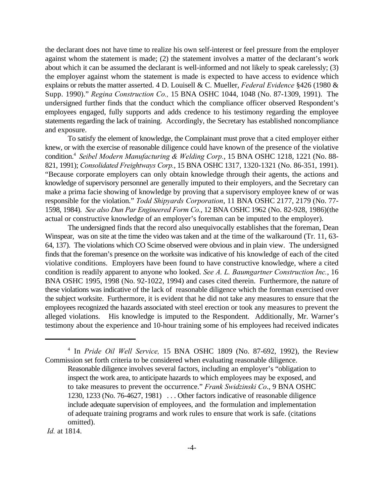the declarant does not have time to realize his own self-interest or feel pressure from the employer against whom the statement is made; (2) the statement involves a matter of the declarant's work about which it can be assumed the declarant is well-informed and not likely to speak carelessly; (3) the employer against whom the statement is made is expected to have access to evidence which explains or rebuts the matter asserted. 4 D. Louisell & C. Mueller, *Federal Evidence* §426 (1980 & Supp. 1990)." *Regina Construction Co.,* 15 BNA OSHC 1044, 1048 (No. 87-1309, 1991). The undersigned further finds that the conduct which the compliance officer observed Respondent's employees engaged, fully supports and adds credence to his testimony regarding the employee statements regarding the lack of training. Accordingly, the Secretary has established noncompliance and exposure.

To satisfy the element of knowledge, the Complainant must prove that a cited employer either knew, or with the exercise of reasonable diligence could have known of the presence of the violative condition.<sup>4</sup> Seibel Modern Manufacturing & Welding Corp., 15 BNA OSHC 1218, 1221 (No. 88-821, 1991); *Consolidated Freightways Corp.*, 15 BNA OSHC 1317, 1320-1321 (No. 86-351, 1991). "Because corporate employers can only obtain knowledge through their agents, the actions and knowledge of supervisory personnel are generally imputed to their employers, and the Secretary can make a prima facie showing of knowledge by proving that a supervisory employee knew of or was responsible for the violation." *Todd Shipyards Corporation*, 11 BNA OSHC 2177, 2179 (No. 77- 1598, 1984). *See also Dun Par Engineered Form Co.*, 12 BNA OSHC 1962 (No. 82-928, 1986)(the actual or constructive knowledge of an employer's foreman can be imputed to the employer).

The undersigned finds that the record also unequivocally establishes that the foreman, Dean Winspear, was on site at the time the video was taken and at the time of the walkaround (Tr. 11, 63- 64, 137). The violations which CO Scime observed were obvious and in plain view. The undersigned finds that the foreman's presence on the worksite was indicative of his knowledge of each of the cited violative conditions. Employers have been found to have constructive knowledge, where a cited condition is readily apparent to anyone who looked. *See A. L. Baumgartner Construction Inc.*, 16 BNA OSHC 1995, 1998 (No. 92-1022, 1994) and cases cited therein. Furthermore, the nature of these violations was indicative of the lack of reasonable diligence which the foreman exercised over the subject worksite. Furthermore, it is evident that he did not take any measures to ensure that the employees recognized the hazards associated with steel erection or took any measures to prevent the alleged violations. His knowledge is imputed to the Respondent. Additionally, Mr. Warner's testimony about the experience and 10-hour training some of his employees had received indicates

*Id.* at 1814.

<sup>&</sup>lt;sup>4</sup> In *Pride Oil Well Service*, 15 BNA OSHC 1809 (No. 87-692, 1992), the Review Commission set forth criteria to be considered when evaluating reasonable diligence.

Reasonable diligence involves several factors, including an employer's "obligation to inspect the work area, to anticipate hazards to which employees may be exposed, and to take measures to prevent the occurrence." *Frank Swidzinski Co*., 9 BNA OSHC 1230, 1233 (No. 76-4627, 1981) . . . Other factors indicative of reasonable diligence include adequate supervision of employees, and the formulation and implementation of adequate training programs and work rules to ensure that work is safe. (citations omitted).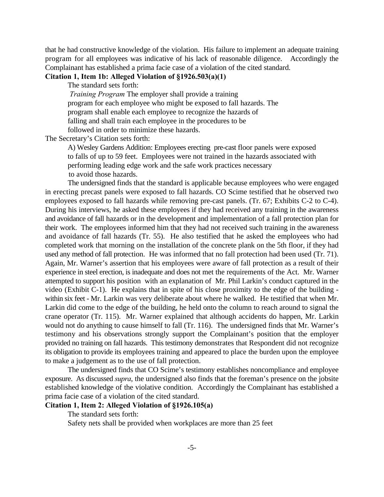that he had constructive knowledge of the violation. His failure to implement an adequate training program for all employees was indicative of his lack of reasonable diligence. Accordingly the Complainant has established a prima facie case of a violation of the cited standard.

# **Citation 1, Item 1b: Alleged Violation of §1926.503(a)(1)**

The standard sets forth:

*Training Program* The employer shall provide a training program for each employee who might be exposed to fall hazards. The program shall enable each employee to recognize the hazards of falling and shall train each employee in the procedures to be followed in order to minimize these hazards.

The Secretary's Citation sets forth:

A) Wesley Gardens Addition: Employees erecting pre-cast floor panels were exposed to falls of up to 59 feet. Employees were not trained in the hazards associated with performing leading edge work and the safe work practices necessary to avoid those hazards.

The undersigned finds that the standard is applicable because employees who were engaged in erecting precast panels were exposed to fall hazards. CO Scime testified that he observed two employees exposed to fall hazards while removing pre-cast panels. (Tr. 67; Exhibits C-2 to C-4). During his interviews, he asked these employees if they had received any training in the awareness and avoidance of fall hazards or in the development and implementation of a fall protection plan for their work. The employees informed him that they had not received such training in the awareness and avoidance of fall hazards (Tr. 55). He also testified that he asked the employees who had completed work that morning on the installation of the concrete plank on the 5th floor, if they had used any method of fall protection. He was informed that no fall protection had been used (Tr. 71). Again, Mr. Warner's assertion that his employees were aware of fall protection as a result of their experience in steel erection, is inadequate and does not met the requirements of the Act. Mr. Warner attempted to support his position with an explanation of Mr. Phil Larkin's conduct captured in the video (Exhibit C-1). He explains that in spite of his close proximity to the edge of the building within six feet - Mr. Larkin was very deliberate about where he walked. He testified that when Mr. Larkin did come to the edge of the building, he held onto the column to reach around to signal the crane operator (Tr. 115). Mr. Warner explained that although accidents do happen, Mr. Larkin would not do anything to cause himself to fall (Tr. 116). The undersigned finds that Mr. Warner's testimony and his observations strongly support the Complainant's position that the employer provided no training on fall hazards. This testimony demonstrates that Respondent did not recognize its obligation to provide its employees training and appeared to place the burden upon the employee to make a judgement as to the use of fall protection.

The undersigned finds that CO Scime's testimony establishes noncompliance and employee exposure. As discussed *supra*, the undersigned also finds that the foreman's presence on the jobsite established knowledge of the violative condition. Accordingly the Complainant has established a prima facie case of a violation of the cited standard.

## **Citation 1, Item 2: Alleged Violation of §1926.105(a)**

The standard sets forth:

Safety nets shall be provided when workplaces are more than 25 feet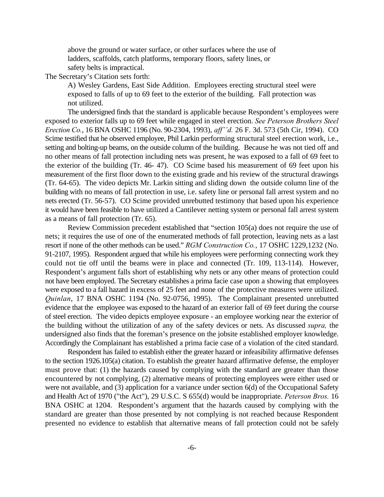above the ground or water surface, or other surfaces where the use of ladders, scaffolds, catch platforms, temporary floors, safety lines, or safety belts is impractical.

The Secretary's Citation sets forth:

A) Wesley Gardens, East Side Addition. Employees erecting structural steel were exposed to falls of up to 69 feet to the exterior of the building. Fall protection was not utilized.

The undersigned finds that the standard is applicable because Respondent's employees were exposed to exterior falls up to 69 feet while engaged in steel erection. *See Peterson Brothers Steel Erection Co.*, 16 BNA OSHC 1196 (No. 90-2304, 1993), *aff''d.* 26 F. 3d. 573 (5th Cir, 1994). CO Scime testified that he observed employee, Phil Larkin performing structural steel erection work, i.e., setting and bolting-up beams, on the outside column of the building. Because he was not tied off and no other means of fall protection including nets was present, he was exposed to a fall of 69 feet to the exterior of the building (Tr. 46- 47). CO Scime based his measurement of 69 feet upon his measurement of the first floor down to the existing grade and his review of the structural drawings (Tr. 64-65). The video depicts Mr. Larkin sitting and sliding down the outside column line of the building with no means of fall protection in use, i.e. safety line or personal fall arrest system and no nets erected (Tr. 56-57). CO Scime provided unrebutted testimony that based upon his experience it would have been feasible to have utilized a Cantilever netting system or personal fall arrest system as a means of fall protection (Tr. 65).

Review Commission precedent established that "section 105(a) does not require the use of nets; it requires the use of one of the enumerated methods of fall protection, leaving nets as a last resort if none of the other methods can be used." *RGM Construction Co.*, 17 OSHC 1229,1232 (No. 91-2107, 1995). Respondent argued that while his employees were performing connecting work they could not tie off until the beams were in place and connected (Tr. 109, 113-114). However, Respondent's argument falls short of establishing why nets or any other means of protection could not have been employed. The Secretary establishes a prima facie case upon a showing that employees were exposed to a fall hazard in excess of 25 feet and none of the protective measures were utilized. *Quinlan*, 17 BNA OSHC 1194 (No. 92-0756, 1995). The Complainant presented unrebutted evidence that the employee was exposed to the hazard of an exterior fall of 69 feet during the course of steel erection. The video depicts employee exposure - an employee working near the exterior of the building without the utilization of any of the safety devices or nets. As discussed *supra,* the undersigned also finds that the foreman's presence on the jobsite established employer knowledge. Accordingly the Complainant has established a prima facie case of a violation of the cited standard.

Respondent has failed to establish either the greater hazard or infeasibility affirmative defenses to the section 1926.105(a) citation. To establish the greater hazard affirmative defense, the employer must prove that: (1) the hazards caused by complying with the standard are greater than those encountered by not complying, (2) alternative means of protecting employees were either used or were not available, and (3) application for a variance under section 6(d) of the Occupational Safety and Health Act of 1970 ("the Act"), 29 U.S.C. S 655(d) would be inappropriate. *Peterson Bros.* 16 BNA OSHC at 1204. Respondent's argument that the hazards caused by complying with the standard are greater than those presented by not complying is not reached because Respondent presented no evidence to establish that alternative means of fall protection could not be safely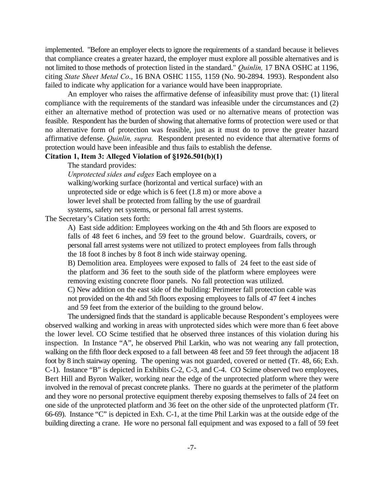implemented. "Before an employer elects to ignore the requirements of a standard because it believes that compliance creates a greater hazard, the employer must explore all possible alternatives and is not limited to those methods of protection listed in the standard." *Quinlin,* 17 BNA OSHC at 1196, citing *State Sheet Metal Co*., 16 BNA OSHC 1155, 1159 (No. 90-2894. 1993). Respondent also failed to indicate why application for a variance would have been inappropriate.

An employer who raises the affirmative defense of infeasibility must prove that: (1) literal compliance with the requirements of the standard was infeasible under the circumstances and (2) either an alternative method of protection was used or no alternative means of protection was feasible. Respondent has the burden of showing that alternative forms of protection were used or that no alternative form of protection was feasible, just as it must do to prove the greater hazard affirmative defense. *Quinlin, supra.* Respondent presented no evidence that alternative forms of protection would have been infeasible and thus fails to establish the defense.

# **Citation 1, Item 3: Alleged Violation of §1926.501(b)(1)**

The standard provides:

*Unprotected sides and edges* Each employee on a walking/working surface (horizontal and vertical surface) with an unprotected side or edge which is 6 feet (1.8 m) or more above a lower level shall be protected from falling by the use of guardrail systems, safety net systems, or personal fall arrest systems.

The Secretary's Citation sets forth:

A) East side addition: Employees working on the 4th and 5th floors are exposed to falls of 48 feet 6 inches, and 59 feet to the ground below. Guardrails, covers, or personal fall arrest systems were not utilized to protect employees from falls through the 18 foot 8 inches by 8 foot 8 inch wide stairway opening.

B) Demolition area. Employees were exposed to falls of 24 feet to the east side of the platform and 36 feet to the south side of the platform where employees were removing existing concrete floor panels. No fall protection was utilized.

C) New addition on the east side of the building: Perimeter fall protection cable was not provided on the 4th and 5th floors exposing employees to falls of 47 feet 4 inches and 59 feet from the exterior of the building to the ground below.

The undersigned finds that the standard is applicable because Respondent's employees were observed walking and working in areas with unprotected sides which were more than 6 feet above the lower level. CO Scime testified that he observed three instances of this violation during his inspection. In Instance "A", he observed Phil Larkin, who was not wearing any fall protection, walking on the fifth floor deck exposed to a fall between 48 feet and 59 feet through the adjacent 18 foot by 8 inch stairway opening. The opening was not guarded, covered or netted (Tr. 48, 66; Exh. C-1). Instance "B" is depicted in Exhibits C-2, C-3, and C-4. CO Scime observed two employees, Bert Hill and Byron Walker, working near the edge of the unprotected platform where they were involved in the removal of precast concrete planks. There no guards at the perimeter of the platform and they wore no personal protective equipment thereby exposing themselves to falls of 24 feet on one side of the unprotected platform and 36 feet on the other side of the unprotected platform (Tr. 66-69). Instance "C" is depicted in Exh. C-1, at the time Phil Larkin was at the outside edge of the building directing a crane. He wore no personal fall equipment and was exposed to a fall of 59 feet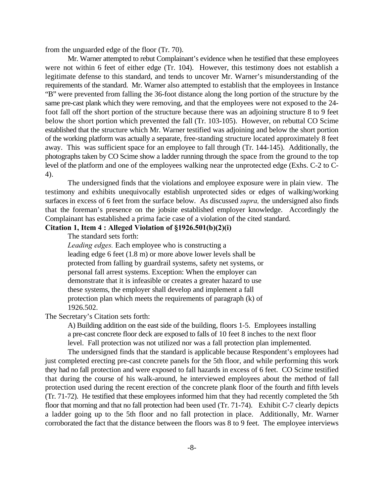from the unguarded edge of the floor (Tr. 70).

Mr. Warner attempted to rebut Complainant's evidence when he testified that these employees were not within 6 feet of either edge (Tr. 104). However, this testimony does not establish a legitimate defense to this standard, and tends to uncover Mr. Warner's misunderstanding of the requirements of the standard. Mr. Warner also attempted to establish that the employees in Instance "B" were prevented from falling the 36-foot distance along the long portion of the structure by the same pre-cast plank which they were removing, and that the employees were not exposed to the 24 foot fall off the short portion of the structure because there was an adjoining structure 8 to 9 feet below the short portion which prevented the fall (Tr. 103-105). However, on rebuttal CO Scime established that the structure which Mr. Warner testified was adjoining and below the short portion of the working platform was actually a separate, free-standing structure located approximately 8 feet away. This was sufficient space for an employee to fall through (Tr. 144-145). Additionally, the photographs taken by CO Scime show a ladder running through the space from the ground to the top level of the platform and one of the employees walking near the unprotected edge (Exhs. C-2 to C-4).

The undersigned finds that the violations and employee exposure were in plain view. The testimony and exhibits unequivocally establish unprotected sides or edges of walking/working surfaces in excess of 6 feet from the surface below. As discussed *supra,* the undersigned also finds that the foreman's presence on the jobsite established employer knowledge. Accordingly the Complainant has established a prima facie case of a violation of the cited standard.

# **Citation 1, Item 4 : Alleged Violation of §1926.501(b)(2)(i)**

The standard sets forth:

*Leading edges.* Each employee who is constructing a leading edge 6 feet (1.8 m) or more above lower levels shall be protected from falling by guardrail systems, safety net systems, or personal fall arrest systems. Exception: When the employer can demonstrate that it is infeasible or creates a greater hazard to use these systems, the employer shall develop and implement a fall protection plan which meets the requirements of paragraph (k) of 1926.502.

The Secretary's Citation sets forth:

A) Building addition on the east side of the building, floors 1-5. Employees installing a pre-cast concrete floor deck are exposed to falls of 10 feet 8 inches to the next floor level. Fall protection was not utilized nor was a fall protection plan implemented.

The undersigned finds that the standard is applicable because Respondent's employees had just completed erecting pre-cast concrete panels for the 5th floor, and while performing this work they had no fall protection and were exposed to fall hazards in excess of 6 feet. CO Scime testified that during the course of his walk-around, he interviewed employees about the method of fall protection used during the recent erection of the concrete plank floor of the fourth and fifth levels (Tr. 71-72). He testified that these employees informed him that they had recently completed the 5th floor that morning and that no fall protection had been used (Tr. 71-74). Exhibit C-7 clearly depicts a ladder going up to the 5th floor and no fall protection in place. Additionally, Mr. Warner corroborated the fact that the distance between the floors was 8 to 9 feet. The employee interviews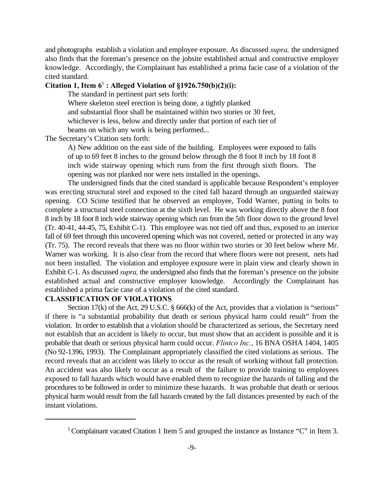and photographs establish a violation and employee exposure. As discussed *supra,* the undersigned also finds that the foreman's presence on the jobsite established actual and constructive employer knowledge. Accordingly, the Complainant has established a prima facie case of a violation of the cited standard.

## Citation 1, Item  $6^5$ : Alleged Violation of  $$1926.750(b)(2)(i):$

The standard in pertinent part sets forth:

Where skeleton steel erection is being done, a tightly planked and substantial floor shall be maintained within two stories or 30 feet, whichever is less, below and directly under that portion of each tier of beams on which any work is being performed...

The Secretary's Citation sets forth:

A) New addition on the east side of the building. Employees were exposed to falls of up to 69 feet 8 inches to the ground below through the 8 foot 8 inch by 18 foot 8 inch wide stairway opening which runs from the first through sixth floors. The opening was not planked nor were nets installed in the openings.

The undersigned finds that the cited standard is applicable because Respondent's employee was erecting structural steel and exposed to the cited fall hazard through an unguarded stairway opening. CO Scime testified that he observed an employee, Todd Warner, putting in bolts to complete a structural steel connection at the sixth level. He was working directly above the 8 foot 8 inch by 18 foot 8 inch wide stairway opening which ran from the 5th floor down to the ground level (Tr. 40-41, 44-45, 75, Exhibit C-1). This employee was not tied off and thus, exposed to an interior fall of 69 feet through this uncovered opening which was not covered, netted or protected in any way (Tr. 75). The record reveals that there was no floor within two stories or 30 feet below where Mr. Warner was working. It is also clear from the record that where floors were not present, nets had not been installed. The violation and employee exposure were in plain view and clearly shown in Exhibit C-1. As discussed *supra,* the undersigned also finds that the foreman's presence on the jobsite established actual and constructive employer knowledge. Accordingly the Complainant has established a prima facie case of a violation of the cited standard.

## **CLASSIFICATION OF VIOLATIONS**

Section 17(k) of the Act, 29 U.S.C. § 666(k) of the Act, provides that a violation is "serious" if there is "a substantial probability that death or serious physical harm could result" from the violation. In order to establish that a violation should be characterized as serious, the Secretary need not establish that an accident is likely to occur, but must show that an accident is possible and it is probable that death or serious physical harm could occur. *Flintco Inc.*, 16 BNA OSHA 1404, 1405 (No 92-1396, 1993). The Complainant appropriately classified the cited violations as serious. The record reveals that an accident was likely to occur as the result of working without fall protection. An accident was also likely to occur as a result of the failure to provide training to employees exposed to fall hazards which would have enabled them to recognize the hazards of falling and the procedures to be followed in order to minimize these hazards. It was probable that death or serious physical harm would result from the fall hazards created by the fall distances presented by each of the instant violations.

<sup>&</sup>lt;sup>5</sup> Complainant vacated Citation 1 Item 5 and grouped the instance as Instance "C" in Item 3.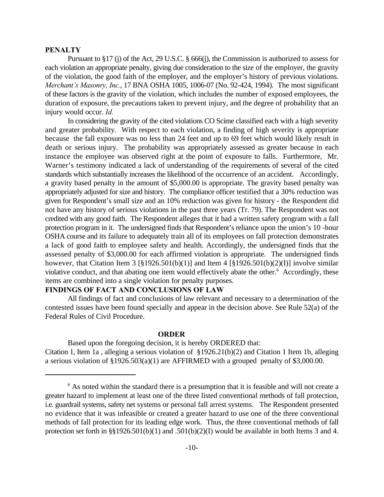#### **PENALTY**

Pursuant to §17 (j) of the Act, 29 U.S.C. § 666(j), the Commission is authorized to assess for each violation an appropriate penalty, giving due consideration to the size of the employer, the gravity of the violation, the good faith of the employer, and the employer's history of previous violations. *Merchant's Masonry, Inc.*, 17 BNA OSHA 1005, 1006-07 (No. 92-424, 1994). The most significant of these factors is the gravity of the violation, which includes the number of exposed employees, the duration of exposure, the precautions taken to prevent injury, and the degree of probability that an injury would occur. *Id.*

In considering the gravity of the cited violations CO Scime classified each with a high severity and greater probability. With respect to each violation, a finding of high severity is appropriate because the fall exposure was no less than 24 feet and up to 69 feet which would likely result in death or serious injury. The probability was appropriately assessed as greater because in each instance the employee was observed right at the point of exposure to falls. Furthermore, Mr. Warner's testimony indicated a lack of understanding of the requirements of several of the cited standards which substantially increases the likelihood of the occurrence of an accident. Accordingly, a gravity based penalty in the amount of \$5,000.00 is appropriate. The gravity based penalty was appropriately adjusted for size and history. The compliance officer testified that a 30% reduction was given for Respondent's small size and an 10% reduction was given for history - the Respondent did not have any history of serious violations in the past three years (Tr. 79). The Respondent was not credited with any good faith. The Respondent alleges that it had a written safety program with a fall protection program in it. The undersigned finds that Respondent's reliance upon the union's 10 -hour OSHA course and its failure to adequately train all of its employees on fall protection demonstrates a lack of good faith to employee safety and health. Accordingly, the undersigned finds that the assessed penalty of \$3,000.00 for each affirmed violation is appropriate. The undersigned finds however, that Citation Item 3  $[\S 1926.501(b)(1)]$  and Item 4  $[\S 1926.501(b)(2)(I)]$  involve similar violative conduct, and that abating one item would effectively abate the other.<sup>6</sup> Accordingly, these items are combined into a single violation for penalty purposes.

# **FINDINGS OF FACT AND CONCLUSIONS OF LAW**

All findings of fact and conclusions of law relevant and necessary to a determination of the contested issues have been found specially and appear in the decision above. See Rule 52(a) of the Federal Rules of Civil Procedure.

#### **ORDER**

Based upon the foregoing decision, it is hereby ORDERED that: Citation 1, Item 1a , alleging a serious violation of §1926.21(b)(2) and Citation 1 Item 1b, alleging a serious violation of §1926.503(a)(1) are AFFIRMED with a grouped penalty of \$3,000.00.

 $6$  As noted within the standard there is a presumption that it is feasible and will not create a greater hazard to implement at least one of the three listed conventional methods of fall protection, i.e. guardrail systems, safety net systems or personal fall arrest systems. The Respondent presented no evidence that it was infeasible or created a greater hazard to use one of the three conventional methods of fall protection for its leading edge work. Thus, the three conventional methods of fall protection set forth in §§1926.501(b)(1) and .501(b)(2)(I) would be available in both Items 3 and 4.